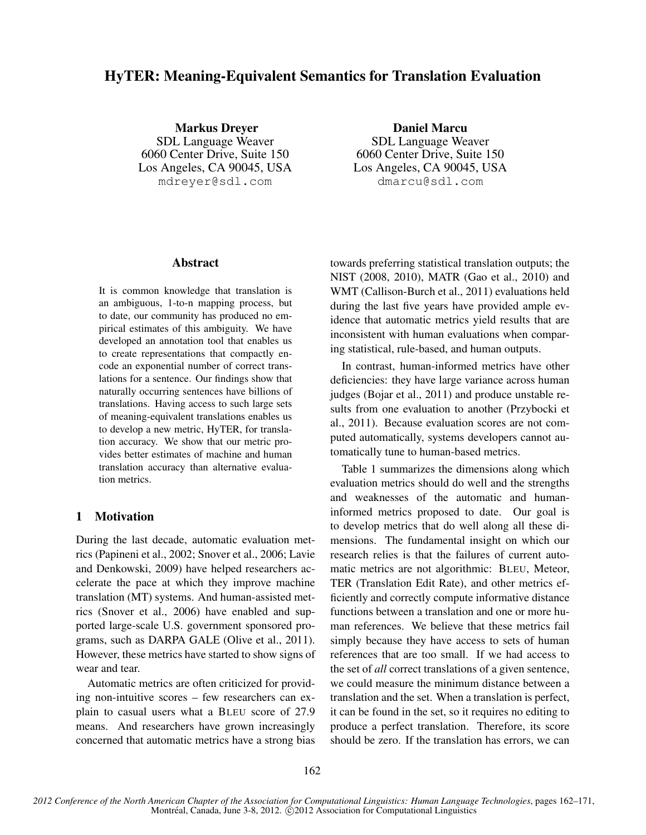# HyTER: Meaning-Equivalent Semantics for Translation Evaluation

Markus Dreyer SDL Language Weaver 6060 Center Drive, Suite 150 Los Angeles, CA 90045, USA mdreyer@sdl.com

Daniel Marcu SDL Language Weaver 6060 Center Drive, Suite 150 Los Angeles, CA 90045, USA dmarcu@sdl.com

## Abstract

It is common knowledge that translation is an ambiguous, 1-to-n mapping process, but to date, our community has produced no empirical estimates of this ambiguity. We have developed an annotation tool that enables us to create representations that compactly encode an exponential number of correct translations for a sentence. Our findings show that naturally occurring sentences have billions of translations. Having access to such large sets of meaning-equivalent translations enables us to develop a new metric, HyTER, for translation accuracy. We show that our metric provides better estimates of machine and human translation accuracy than alternative evaluation metrics.

## 1 Motivation

During the last decade, automatic evaluation metrics (Papineni et al., 2002; Snover et al., 2006; Lavie and Denkowski, 2009) have helped researchers accelerate the pace at which they improve machine translation (MT) systems. And human-assisted metrics (Snover et al., 2006) have enabled and supported large-scale U.S. government sponsored programs, such as DARPA GALE (Olive et al., 2011). However, these metrics have started to show signs of wear and tear.

Automatic metrics are often criticized for providing non-intuitive scores – few researchers can explain to casual users what a BLEU score of 27.9 means. And researchers have grown increasingly concerned that automatic metrics have a strong bias towards preferring statistical translation outputs; the NIST (2008, 2010), MATR (Gao et al., 2010) and WMT (Callison-Burch et al., 2011) evaluations held during the last five years have provided ample evidence that automatic metrics yield results that are inconsistent with human evaluations when comparing statistical, rule-based, and human outputs.

In contrast, human-informed metrics have other deficiencies: they have large variance across human judges (Bojar et al., 2011) and produce unstable results from one evaluation to another (Przybocki et al., 2011). Because evaluation scores are not computed automatically, systems developers cannot automatically tune to human-based metrics.

Table 1 summarizes the dimensions along which evaluation metrics should do well and the strengths and weaknesses of the automatic and humaninformed metrics proposed to date. Our goal is to develop metrics that do well along all these dimensions. The fundamental insight on which our research relies is that the failures of current automatic metrics are not algorithmic: BLEU, Meteor, TER (Translation Edit Rate), and other metrics efficiently and correctly compute informative distance functions between a translation and one or more human references. We believe that these metrics fail simply because they have access to sets of human references that are too small. If we had access to the set of *all* correct translations of a given sentence, we could measure the minimum distance between a translation and the set. When a translation is perfect, it can be found in the set, so it requires no editing to produce a perfect translation. Therefore, its score should be zero. If the translation has errors, we can

*2012 Conference of the North American Chapter of the Association for Computational Linguistics: Human Language Technologies*, pages 162–171, Montréal, Canada, June 3-8, 2012. ©2012 Association for Computational Linguistics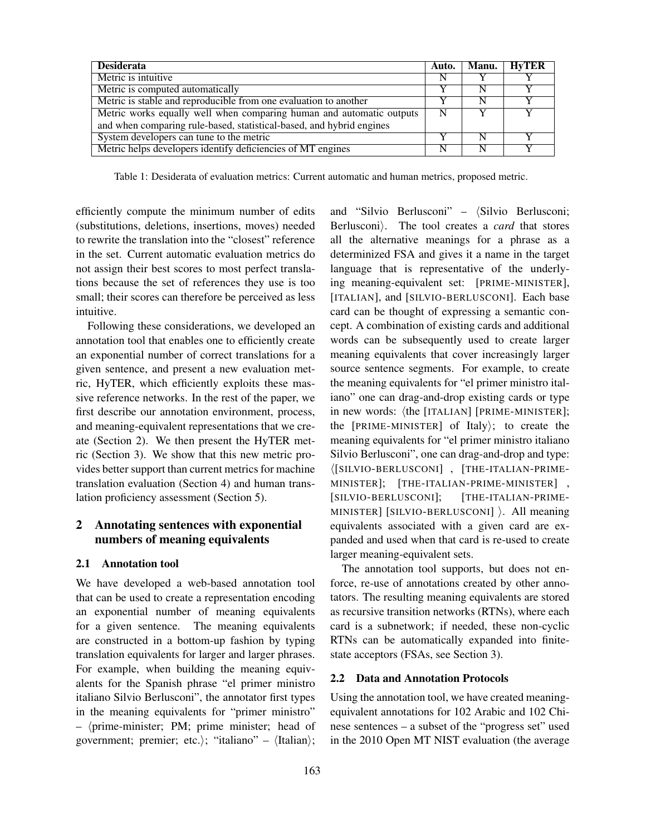| <b>Desiderata</b>                                                    | Auto. | <b>Manu.</b> | <b>HyTER</b> |
|----------------------------------------------------------------------|-------|--------------|--------------|
| Metric is intuitive                                                  |       |              |              |
| Metric is computed automatically                                     |       |              |              |
| Metric is stable and reproducible from one evaluation to another     |       |              |              |
| Metric works equally well when comparing human and automatic outputs |       |              |              |
| and when comparing rule-based, statistical-based, and hybrid engines |       |              |              |
| System developers can tune to the metric                             |       |              |              |
| Metric helps developers identify deficiencies of MT engines          |       |              |              |

Table 1: Desiderata of evaluation metrics: Current automatic and human metrics, proposed metric.

efficiently compute the minimum number of edits (substitutions, deletions, insertions, moves) needed to rewrite the translation into the "closest" reference in the set. Current automatic evaluation metrics do not assign their best scores to most perfect translations because the set of references they use is too small; their scores can therefore be perceived as less intuitive.

Following these considerations, we developed an annotation tool that enables one to efficiently create an exponential number of correct translations for a given sentence, and present a new evaluation metric, HyTER, which efficiently exploits these massive reference networks. In the rest of the paper, we first describe our annotation environment, process, and meaning-equivalent representations that we create (Section 2). We then present the HyTER metric (Section 3). We show that this new metric provides better support than current metrics for machine translation evaluation (Section 4) and human translation proficiency assessment (Section 5).

# 2 Annotating sentences with exponential numbers of meaning equivalents

#### 2.1 Annotation tool

We have developed a web-based annotation tool that can be used to create a representation encoding an exponential number of meaning equivalents for a given sentence. The meaning equivalents are constructed in a bottom-up fashion by typing translation equivalents for larger and larger phrases. For example, when building the meaning equivalents for the Spanish phrase "el primer ministro italiano Silvio Berlusconi", the annotator first types in the meaning equivalents for "primer ministro"  $-$  (prime-minister; PM; prime minister; head of government; premier; etc.); "italiano" –  $\langle$ Italian $\rangle$ ;

and "Silvio Berlusconi" –  $\langle$ Silvio Berlusconi; Berlusconi). The tool creates a *card* that stores all the alternative meanings for a phrase as a determinized FSA and gives it a name in the target language that is representative of the underlying meaning-equivalent set: [PRIME-MINISTER], [ITALIAN], and [SILVIO-BERLUSCONI]. Each base card can be thought of expressing a semantic concept. A combination of existing cards and additional words can be subsequently used to create larger meaning equivalents that cover increasingly larger source sentence segments. For example, to create the meaning equivalents for "el primer ministro italiano" one can drag-and-drop existing cards or type in new words:  $\langle$ the [ITALIAN] [PRIME-MINISTER]; the  $[PRIME-MINISTER]$  of Italy); to create the meaning equivalents for "el primer ministro italiano Silvio Berlusconi", one can drag-and-drop and type: h[SILVIO-BERLUSCONI] , [THE-ITALIAN-PRIME-MINISTER]; [THE-ITALIAN-PRIME-MINISTER] , [SILVIO-BERLUSCONI]; [THE-ITALIAN-PRIME-MINISTER] [SILVIO-BERLUSCONI] ). All meaning equivalents associated with a given card are expanded and used when that card is re-used to create larger meaning-equivalent sets.

The annotation tool supports, but does not enforce, re-use of annotations created by other annotators. The resulting meaning equivalents are stored as recursive transition networks (RTNs), where each card is a subnetwork; if needed, these non-cyclic RTNs can be automatically expanded into finitestate acceptors (FSAs, see Section 3).

#### 2.2 Data and Annotation Protocols

Using the annotation tool, we have created meaningequivalent annotations for 102 Arabic and 102 Chinese sentences – a subset of the "progress set" used in the 2010 Open MT NIST evaluation (the average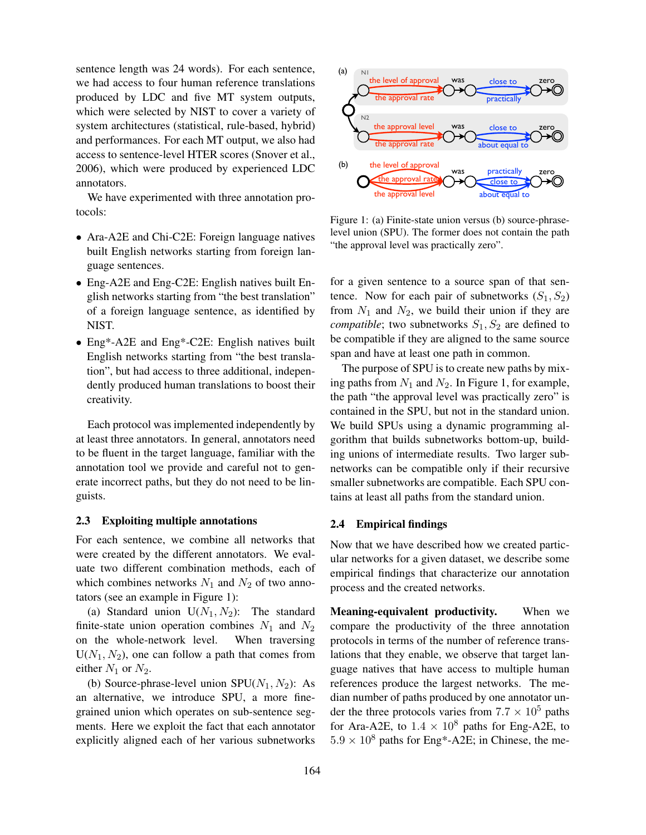sentence length was 24 words). For each sentence, we had access to four human reference translations produced by LDC and five MT system outputs, which were selected by NIST to cover a variety of system architectures (statistical, rule-based, hybrid) and performances. For each MT output, we also had access to sentence-level HTER scores (Snover et al., 2006), which were produced by experienced LDC annotators.

We have experimented with three annotation protocols:

- Ara-A2E and Chi-C2E: Foreign language natives built English networks starting from foreign language sentences.
- Eng-A2E and Eng-C2E: English natives built English networks starting from "the best translation" of a foreign language sentence, as identified by NIST.
- Eng\*-A2E and Eng\*-C2E: English natives built English networks starting from "the best translation", but had access to three additional, independently produced human translations to boost their creativity.

Each protocol was implemented independently by at least three annotators. In general, annotators need to be fluent in the target language, familiar with the annotation tool we provide and careful not to generate incorrect paths, but they do not need to be linguists.

#### 2.3 Exploiting multiple annotations

For each sentence, we combine all networks that were created by the different annotators. We evaluate two different combination methods, each of which combines networks  $N_1$  and  $N_2$  of two annotators (see an example in Figure 1):

(a) Standard union  $U(N_1, N_2)$ : The standard finite-state union operation combines  $N_1$  and  $N_2$ on the whole-network level. When traversing  $U(N_1, N_2)$ , one can follow a path that comes from either  $N_1$  or  $N_2$ .

(b) Source-phrase-level union  $SPU(N_1, N_2)$ : As an alternative, we introduce SPU, a more finegrained union which operates on sub-sentence segments. Here we exploit the fact that each annotator explicitly aligned each of her various subnetworks



Figure 1: (a) Finite-state union versus (b) source-phraselevel union (SPU). The former does not contain the path "the approval level was practically zero".

for a given sentence to a source span of that sentence. Now for each pair of subnetworks  $(S_1, S_2)$ from  $N_1$  and  $N_2$ , we build their union if they are *compatible*; two subnetworks  $S_1, S_2$  are defined to be compatible if they are aligned to the same source span and have at least one path in common.

The purpose of SPU is to create new paths by mixing paths from  $N_1$  and  $N_2$ . In Figure 1, for example, the path "the approval level was practically zero" is contained in the SPU, but not in the standard union. We build SPUs using a dynamic programming algorithm that builds subnetworks bottom-up, building unions of intermediate results. Two larger subnetworks can be compatible only if their recursive smaller subnetworks are compatible. Each SPU contains at least all paths from the standard union.

#### 2.4 Empirical findings

Now that we have described how we created particular networks for a given dataset, we describe some empirical findings that characterize our annotation process and the created networks.

Meaning-equivalent productivity. When we compare the productivity of the three annotation protocols in terms of the number of reference translations that they enable, we observe that target language natives that have access to multiple human references produce the largest networks. The median number of paths produced by one annotator under the three protocols varies from  $7.7 \times 10^5$  paths for Ara-A2E, to  $1.4 \times 10^8$  paths for Eng-A2E, to  $5.9 \times 10^8$  paths for Eng\*-A2E; in Chinese, the me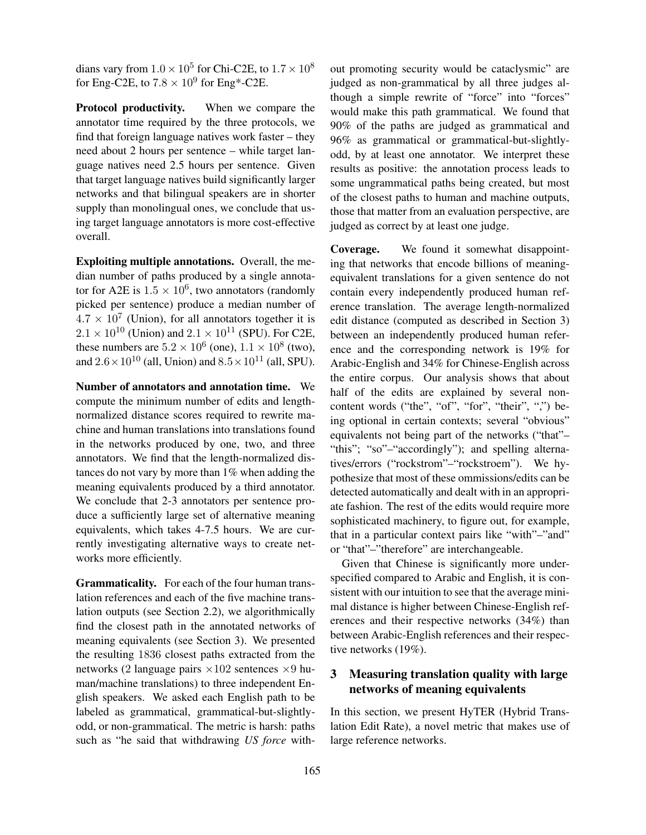dians vary from  $1.0 \times 10^5$  for Chi-C2E, to  $1.7 \times 10^8$ for Eng-C2E, to  $7.8 \times 10^9$  for Eng\*-C2E.

Protocol productivity. When we compare the annotator time required by the three protocols, we find that foreign language natives work faster – they need about 2 hours per sentence – while target language natives need 2.5 hours per sentence. Given that target language natives build significantly larger networks and that bilingual speakers are in shorter supply than monolingual ones, we conclude that using target language annotators is more cost-effective overall.

Exploiting multiple annotations. Overall, the median number of paths produced by a single annotator for A2E is  $1.5 \times 10^6$ , two annotators (randomly picked per sentence) produce a median number of  $4.7 \times 10^7$  (Union), for all annotators together it is  $2.1 \times 10^{10}$  (Union) and  $2.1 \times 10^{11}$  (SPU). For C2E, these numbers are  $5.2 \times 10^6$  (one),  $1.1 \times 10^8$  (two), and  $2.6 \times 10^{10}$  (all, Union) and  $8.5 \times 10^{11}$  (all, SPU).

Number of annotators and annotation time. We compute the minimum number of edits and lengthnormalized distance scores required to rewrite machine and human translations into translations found in the networks produced by one, two, and three annotators. We find that the length-normalized distances do not vary by more than 1% when adding the meaning equivalents produced by a third annotator. We conclude that 2-3 annotators per sentence produce a sufficiently large set of alternative meaning equivalents, which takes 4-7.5 hours. We are currently investigating alternative ways to create networks more efficiently.

Grammaticality. For each of the four human translation references and each of the five machine translation outputs (see Section 2.2), we algorithmically find the closest path in the annotated networks of meaning equivalents (see Section 3). We presented the resulting 1836 closest paths extracted from the networks (2 language pairs  $\times 102$  sentences  $\times 9$  human/machine translations) to three independent English speakers. We asked each English path to be labeled as grammatical, grammatical-but-slightlyodd, or non-grammatical. The metric is harsh: paths such as "he said that withdrawing *US force* without promoting security would be cataclysmic" are judged as non-grammatical by all three judges although a simple rewrite of "force" into "forces" would make this path grammatical. We found that 90% of the paths are judged as grammatical and 96% as grammatical or grammatical-but-slightlyodd, by at least one annotator. We interpret these results as positive: the annotation process leads to some ungrammatical paths being created, but most of the closest paths to human and machine outputs, those that matter from an evaluation perspective, are judged as correct by at least one judge.

Coverage. We found it somewhat disappointing that networks that encode billions of meaningequivalent translations for a given sentence do not contain every independently produced human reference translation. The average length-normalized edit distance (computed as described in Section 3) between an independently produced human reference and the corresponding network is 19% for Arabic-English and 34% for Chinese-English across the entire corpus. Our analysis shows that about half of the edits are explained by several noncontent words ("the", "of", "for", "their", ",") being optional in certain contexts; several "obvious" equivalents not being part of the networks ("that"– "this"; "so"-"accordingly"); and spelling alternatives/errors ("rockstrom"–"rockstroem"). We hypothesize that most of these ommissions/edits can be detected automatically and dealt with in an appropriate fashion. The rest of the edits would require more sophisticated machinery, to figure out, for example, that in a particular context pairs like "with"–"and" or "that"–"therefore" are interchangeable.

Given that Chinese is significantly more underspecified compared to Arabic and English, it is consistent with our intuition to see that the average minimal distance is higher between Chinese-English references and their respective networks (34%) than between Arabic-English references and their respective networks (19%).

# 3 Measuring translation quality with large networks of meaning equivalents

In this section, we present HyTER (Hybrid Translation Edit Rate), a novel metric that makes use of large reference networks.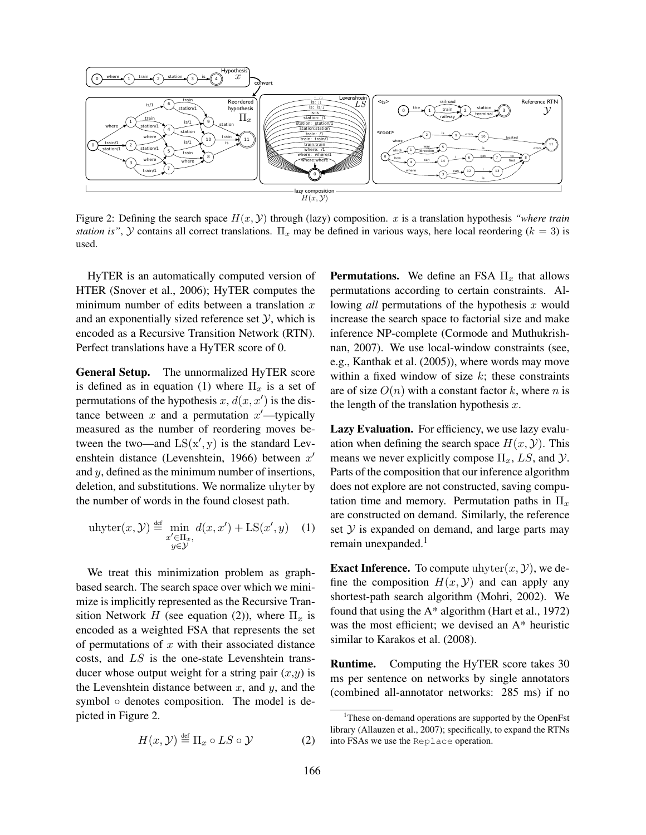

Figure 2: Defining the search space  $H(x, y)$  through (lazy) composition. x is a translation hypothesis *"where train station is"*,  $Y$  contains all correct translations.  $\Pi_x$  may be defined in various ways, here local reordering ( $k = 3$ ) is used.

HyTER is an automatically computed version of HTER (Snover et al., 2006); HyTER computes the minimum number of edits between a translation  $x$ and an exponentially sized reference set  $\mathcal{Y}$ , which is encoded as a Recursive Transition Network (RTN). Perfect translations have a HyTER score of 0.

General Setup. The unnormalized HyTER score is defined as in equation (1) where  $\Pi_x$  is a set of permutations of the hypothesis  $x, d(x, x')$  is the distance between x and a permutation  $x'$ —typically measured as the number of reordering moves between the two—and  $LS(x', y)$  is the standard Levenshtein distance (Levenshtein, 1966) between  $x'$ and y, defined as the minimum number of insertions, deletion, and substitutions. We normalize uhyter by the number of words in the found closest path.

$$
\text{uhyter}(x, \mathcal{Y}) \stackrel{\text{def}}{=} \min_{\substack{x' \in \Pi_x, \\ y \in \mathcal{Y}}} d(x, x') + \text{LS}(x', y) \quad (1)
$$

We treat this minimization problem as graphbased search. The search space over which we minimize is implicitly represented as the Recursive Transition Network H (see equation (2)), where  $\Pi_x$  is encoded as a weighted FSA that represents the set of permutations of  $x$  with their associated distance costs, and LS is the one-state Levenshtein transducer whose output weight for a string pair  $(x,y)$  is the Levenshtein distance between  $x$ , and  $y$ , and the symbol ◦ denotes composition. The model is depicted in Figure 2.

$$
H(x, \mathcal{Y}) \stackrel{\text{def}}{=} \Pi_x \circ LS \circ \mathcal{Y} \tag{2}
$$

**Permutations.** We define an FSA  $\Pi_x$  that allows permutations according to certain constraints. Allowing *all* permutations of the hypothesis x would increase the search space to factorial size and make inference NP-complete (Cormode and Muthukrishnan, 2007). We use local-window constraints (see, e.g., Kanthak et al. (2005)), where words may move within a fixed window of size  $k$ ; these constraints are of size  $O(n)$  with a constant factor k, where n is the length of the translation hypothesis  $x$ .

Lazy Evaluation. For efficiency, we use lazy evaluation when defining the search space  $H(x, y)$ . This means we never explicitly compose  $\Pi_x$ , LS, and  $\mathcal{Y}$ . Parts of the composition that our inference algorithm does not explore are not constructed, saving computation time and memory. Permutation paths in  $\Pi_x$ are constructed on demand. Similarly, the reference set  $Y$  is expanded on demand, and large parts may remain unexpanded.<sup>1</sup>

**Exact Inference.** To compute uhyter $(x, y)$ , we define the composition  $H(x, y)$  and can apply any shortest-path search algorithm (Mohri, 2002). We found that using the  $A^*$  algorithm (Hart et al., 1972) was the most efficient; we devised an A\* heuristic similar to Karakos et al. (2008).

Runtime. Computing the HyTER score takes 30 ms per sentence on networks by single annotators (combined all-annotator networks: 285 ms) if no

<sup>&</sup>lt;sup>1</sup>These on-demand operations are supported by the OpenFst library (Allauzen et al., 2007); specifically, to expand the RTNs into FSAs we use the Replace operation.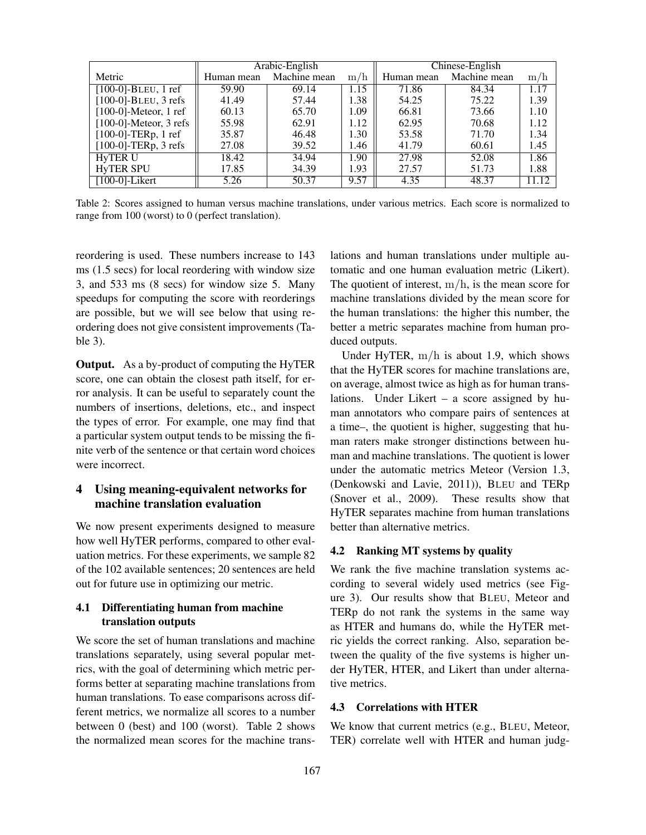|                           | Arabic-English |              |                   | Chinese-English |              |       |  |
|---------------------------|----------------|--------------|-------------------|-----------------|--------------|-------|--|
| Metric                    | Human mean     | Machine mean | 'n<br>m/          | Human mean      | Machine mean | m/h   |  |
| $[100-0]$ -BLEU, 1 ref    | 59.90          | 69.14        | $\overline{1.15}$ | 71.86           | 84.34        | 1.17  |  |
| $[100-0]$ -BLEU, 3 refs   | 41.49          | 57.44        | 1.38              | 54.25           | 75.22        | 1.39  |  |
| $[100-0]$ -Meteor, 1 ref  | 60.13          | 65.70        | 1.09              | 66.81           | 73.66        | 1.10  |  |
| $[100-0]$ -Meteor, 3 refs | 55.98          | 62.91        | 1.12              | 62.95           | 70.68        | 1.12  |  |
| $[100-0]$ -TERp, 1 ref    | 35.87          | 46.48        | 1.30              | 53.58           | 71.70        | 1.34  |  |
| $[100-0]$ -TERp, 3 refs   | 27.08          | 39.52        | 1.46              | 41.79           | 60.61        | 1.45  |  |
| <b>HyTER U</b>            | 18.42          | 34.94        | 1.90              | 27.98           | 52.08        | 1.86  |  |
| <b>HyTER SPU</b>          | 17.85          | 34.39        | 1.93              | 27.57           | 51.73        | 1.88  |  |
| $[100-0]$ -Likert         | 5.26           | 50.37        | 9.57              | 4.35            | 48.37        | 11.12 |  |

Table 2: Scores assigned to human versus machine translations, under various metrics. Each score is normalized to range from 100 (worst) to 0 (perfect translation).

reordering is used. These numbers increase to 143 ms (1.5 secs) for local reordering with window size 3, and 533 ms (8 secs) for window size 5. Many speedups for computing the score with reorderings are possible, but we will see below that using reordering does not give consistent improvements (Table 3).

Output. As a by-product of computing the HyTER score, one can obtain the closest path itself, for error analysis. It can be useful to separately count the numbers of insertions, deletions, etc., and inspect the types of error. For example, one may find that a particular system output tends to be missing the finite verb of the sentence or that certain word choices were incorrect.

# 4 Using meaning-equivalent networks for machine translation evaluation

We now present experiments designed to measure how well HyTER performs, compared to other evaluation metrics. For these experiments, we sample 82 of the 102 available sentences; 20 sentences are held out for future use in optimizing our metric.

## 4.1 Differentiating human from machine translation outputs

We score the set of human translations and machine translations separately, using several popular metrics, with the goal of determining which metric performs better at separating machine translations from human translations. To ease comparisons across different metrics, we normalize all scores to a number between 0 (best) and 100 (worst). Table 2 shows the normalized mean scores for the machine translations and human translations under multiple automatic and one human evaluation metric (Likert). The quotient of interest,  $m/h$ , is the mean score for machine translations divided by the mean score for the human translations: the higher this number, the better a metric separates machine from human produced outputs.

Under HyTER, m/h is about 1.9, which shows that the HyTER scores for machine translations are, on average, almost twice as high as for human translations. Under Likert – a score assigned by human annotators who compare pairs of sentences at a time–, the quotient is higher, suggesting that human raters make stronger distinctions between human and machine translations. The quotient is lower under the automatic metrics Meteor (Version 1.3, (Denkowski and Lavie, 2011)), BLEU and TERp (Snover et al., 2009). These results show that HyTER separates machine from human translations better than alternative metrics.

## 4.2 Ranking MT systems by quality

We rank the five machine translation systems according to several widely used metrics (see Figure 3). Our results show that BLEU, Meteor and TERp do not rank the systems in the same way as HTER and humans do, while the HyTER metric yields the correct ranking. Also, separation between the quality of the five systems is higher under HyTER, HTER, and Likert than under alternative metrics.

## 4.3 Correlations with HTER

We know that current metrics (e.g., BLEU, Meteor, TER) correlate well with HTER and human judg-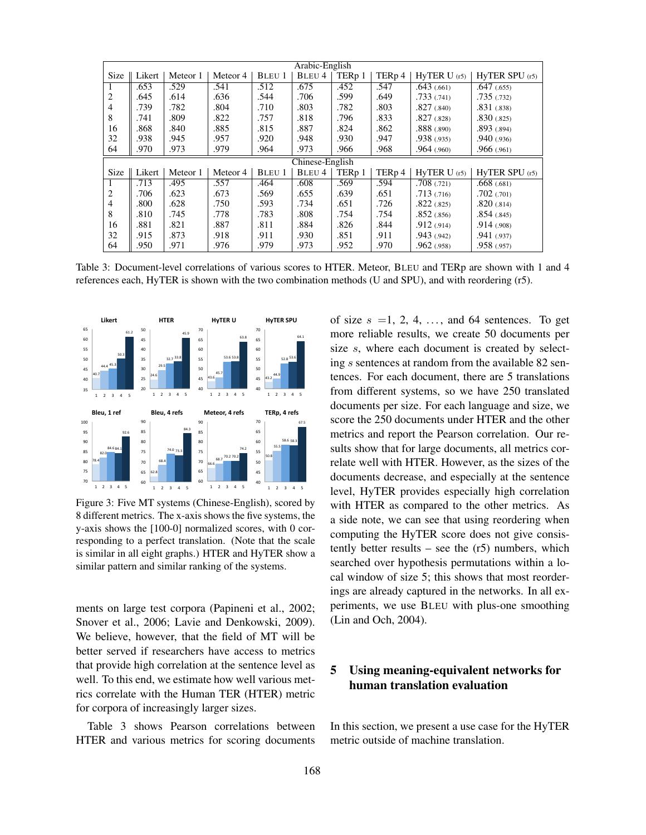| Arabic-English |                    |          |          |               |        |                   |                    |                 |                    |
|----------------|--------------------|----------|----------|---------------|--------|-------------------|--------------------|-----------------|--------------------|
| <b>Size</b>    | $\parallel$ Likert | Meteor 1 | Meteor 4 | <b>BLEU 1</b> | BLEU 4 | TER <sub>p1</sub> | TER <sub>p</sub> 4 | HyTER U(r5)     | $HvTER$ SPU $(r5)$ |
|                | .653               | .529     | .541     | .512          | .675   | .452              | .547               | .643(.661)      | .647(.655)         |
| 2              | .645               | .614     | .636     | .544          | .706   | .599              | .649               | .733(.741)      | .735(.732)         |
| $\overline{4}$ | .739               | .782     | .804     | .710          | .803   | .782              | .803               | $.827$ $(.840)$ | .831(.838)         |
| 8              | .741               | .809     | .822     | .757          | .818   | .796              | .833               | .827(.828)      | .830(.825)         |
| 16             | .868               | .840     | .885     | .815          | .887   | .824              | .862               | $.888$ $(.890)$ | .893(.894)         |
| 32             | .938               | .945     | .957     | .920          | .948   | .930              | .947               | .938(.935)      | .940(0.936)        |
| 64             | .970               | .973     | .979     | .964          | .973   | .966              | .968               | .964(.960)      | .966(.961)         |
|                | Chinese-English    |          |          |               |        |                   |                    |                 |                    |
|                |                    |          |          |               |        |                   |                    |                 |                    |
| <b>Size</b>    | Likert             | Meteor 1 | Meteor 4 | <b>BLEU 1</b> | BLEU 4 | TER <sub>p1</sub> | TERp 4             | HyTER U(r5)     | $HvTER$ SPU $(r5)$ |
|                | .713               | .495     | .557     | .464          | .608   | .569              | .594               | .708(.721)      | .668(.681)         |
| 2              | .706               | .623     | .673     | .569          | .655   | .639              | .651               | .713(.716)      | .702(.701)         |
| $\overline{4}$ | .800               | .628     | .750     | .593          | .734   | .651              | .726               | .822(.825)      | .820(.814)         |
| 8              | .810               | .745     | .778     | .783          | .808   | .754              | .754               | .852(.856)      | .854(.845)         |
| 16             | .881               | .821     | .887     | .811          | .884   | .826              | .844               | .912(.914)      | .914(.908)         |
| 32             | .915               | .873     | .918     | .911          | .930   | .851              | .911               | .943(.942)      | .941(.937)         |

Table 3: Document-level correlations of various scores to HTER. Meteor, BLEU and TERp are shown with 1 and 4 references each, HyTER is shown with the two combination methods (U and SPU), and with reordering (r5).



Figure 3: Five MT systems (Chinese-English), scored by 8 different metrics. The x-axis shows the five systems, the y-axis shows the [100-0] normalized scores, with 0 corresponding to a perfect translation. (Note that the scale is similar in all eight graphs.) HTER and HyTER show a similar pattern and similar ranking of the systems.

ments on large test corpora (Papineni et al., 2002; Snover et al., 2006; Lavie and Denkowski, 2009). We believe, however, that the field of MT will be better served if researchers have access to metrics that provide high correlation at the sentence level as well. To this end, we estimate how well various metrics correlate with the Human TER (HTER) metric for corpora of increasingly larger sizes.

Table 3 shows Pearson correlations between HTER and various metrics for scoring documents of size  $s = 1, 2, 4, \ldots$ , and 64 sentences. To get more reliable results, we create 50 documents per size s, where each document is created by selecting s sentences at random from the available 82 sentences. For each document, there are 5 translations from different systems, so we have 250 translated documents per size. For each language and size, we score the 250 documents under HTER and the other metrics and report the Pearson correlation. Our results show that for large documents, all metrics correlate well with HTER. However, as the sizes of the documents decrease, and especially at the sentence level, HyTER provides especially high correlation with HTER as compared to the other metrics. As a side note, we can see that using reordering when computing the HyTER score does not give consistently better results – see the (r5) numbers, which searched over hypothesis permutations within a local window of size 5; this shows that most reorderings are already captured in the networks. In all experiments, we use BLEU with plus-one smoothing (Lin and Och, 2004).

# 5 Using meaning-equivalent networks for human translation evaluation

In this section, we present a use case for the HyTER metric outside of machine translation.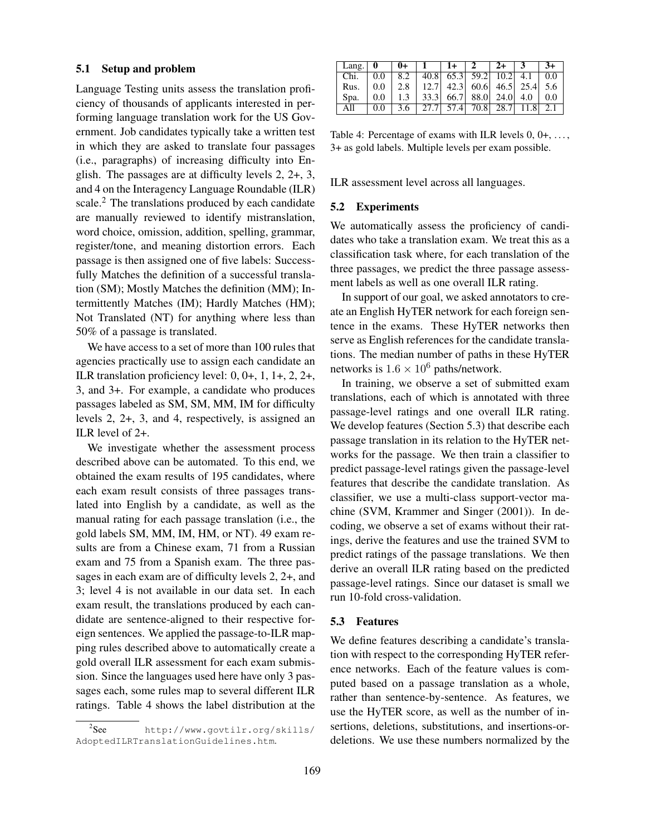### 5.1 Setup and problem

Language Testing units assess the translation proficiency of thousands of applicants interested in performing language translation work for the US Government. Job candidates typically take a written test in which they are asked to translate four passages (i.e., paragraphs) of increasing difficulty into English. The passages are at difficulty levels 2, 2+, 3, and 4 on the Interagency Language Roundable (ILR) scale.<sup>2</sup> The translations produced by each candidate are manually reviewed to identify mistranslation, word choice, omission, addition, spelling, grammar, register/tone, and meaning distortion errors. Each passage is then assigned one of five labels: Successfully Matches the definition of a successful translation (SM); Mostly Matches the definition (MM); Intermittently Matches (IM); Hardly Matches (HM); Not Translated (NT) for anything where less than 50% of a passage is translated.

We have access to a set of more than 100 rules that agencies practically use to assign each candidate an ILR translation proficiency level: 0, 0+, 1, 1+, 2, 2+, 3, and 3+. For example, a candidate who produces passages labeled as SM, SM, MM, IM for difficulty levels 2, 2+, 3, and 4, respectively, is assigned an ILR level of 2+.

We investigate whether the assessment process described above can be automated. To this end, we obtained the exam results of 195 candidates, where each exam result consists of three passages translated into English by a candidate, as well as the manual rating for each passage translation (i.e., the gold labels SM, MM, IM, HM, or NT). 49 exam results are from a Chinese exam, 71 from a Russian exam and 75 from a Spanish exam. The three passages in each exam are of difficulty levels 2, 2+, and 3; level 4 is not available in our data set. In each exam result, the translations produced by each candidate are sentence-aligned to their respective foreign sentences. We applied the passage-to-ILR mapping rules described above to automatically create a gold overall ILR assessment for each exam submission. Since the languages used here have only 3 passages each, some rules map to several different ILR ratings. Table 4 shows the label distribution at the

| Lang. $\vert 0 \vert$ |     | $0+$ |      | $1+$ 1                     |      | $2+$ |      | $3+$ |
|-----------------------|-----|------|------|----------------------------|------|------|------|------|
| Chi.                  | 0.0 | 8.2  |      | 40.8 65.3 59.2 10.2        |      |      | 4.1  | 0.0  |
| Rus.                  | 0.0 | 2.8  |      | $12.7$ 42.3 60.6 46.5 25.4 |      |      |      | 5.6  |
| Spa.                  | 0.0 | 1.3  |      | 33.3 66.7 88.0 24.0        |      |      | 4.0  | 0.0  |
| All                   | 0.0 | 3.6  | 27.7 | 57.4                       | 70.8 | 28.7 | 11.8 | 2.1  |

Table 4: Percentage of exams with ILR levels  $0, 0+, \ldots$ , 3+ as gold labels. Multiple levels per exam possible.

ILR assessment level across all languages.

#### 5.2 Experiments

We automatically assess the proficiency of candidates who take a translation exam. We treat this as a classification task where, for each translation of the three passages, we predict the three passage assessment labels as well as one overall ILR rating.

In support of our goal, we asked annotators to create an English HyTER network for each foreign sentence in the exams. These HyTER networks then serve as English references for the candidate translations. The median number of paths in these HyTER networks is  $1.6 \times 10^6$  paths/network.

In training, we observe a set of submitted exam translations, each of which is annotated with three passage-level ratings and one overall ILR rating. We develop features (Section 5.3) that describe each passage translation in its relation to the HyTER networks for the passage. We then train a classifier to predict passage-level ratings given the passage-level features that describe the candidate translation. As classifier, we use a multi-class support-vector machine (SVM, Krammer and Singer (2001)). In decoding, we observe a set of exams without their ratings, derive the features and use the trained SVM to predict ratings of the passage translations. We then derive an overall ILR rating based on the predicted passage-level ratings. Since our dataset is small we run 10-fold cross-validation.

## 5.3 Features

We define features describing a candidate's translation with respect to the corresponding HyTER reference networks. Each of the feature values is computed based on a passage translation as a whole, rather than sentence-by-sentence. As features, we use the HyTER score, as well as the number of insertions, deletions, substitutions, and insertions-ordeletions. We use these numbers normalized by the

 $2$ See http://www.govtilr.org/skills/ AdoptedILRTranslationGuidelines.htm.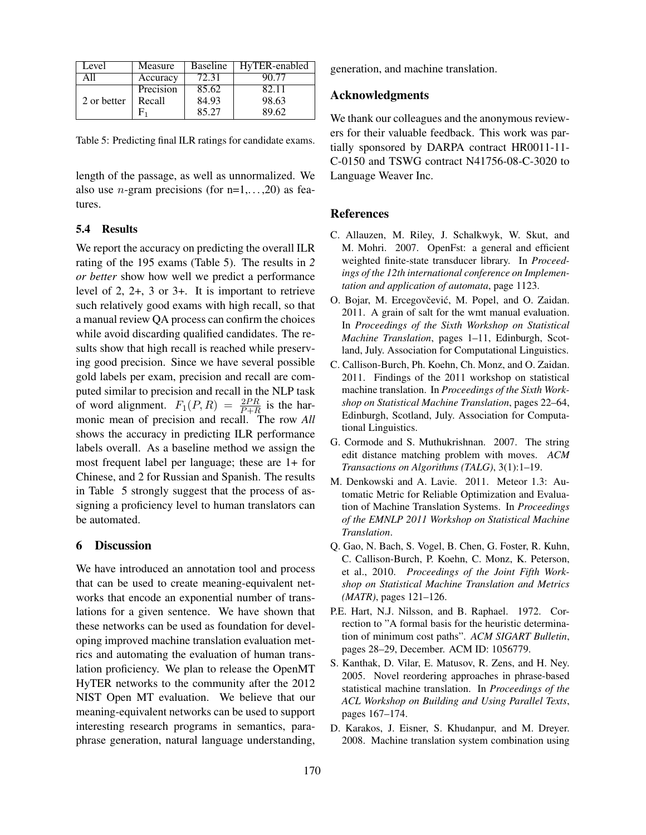| Level       | Measure   | <b>Baseline</b> | HyTER-enabled |
|-------------|-----------|-----------------|---------------|
| A 11        | Accuracy  | 72.31           | 90.77         |
|             | Precision | 85.62           | 82.11         |
| 2 or better | Recall    | 84.93           | 98.63         |
|             |           | 85.27           | 89.62         |

Table 5: Predicting final ILR ratings for candidate exams.

length of the passage, as well as unnormalized. We also use *n*-gram precisions (for  $n=1, \ldots, 20$ ) as features.

#### 5.4 Results

We report the accuracy on predicting the overall ILR rating of the 195 exams (Table 5). The results in *2 or better* show how well we predict a performance level of 2, 2+, 3 or 3+. It is important to retrieve such relatively good exams with high recall, so that a manual review QA process can confirm the choices while avoid discarding qualified candidates. The results show that high recall is reached while preserving good precision. Since we have several possible gold labels per exam, precision and recall are computed similar to precision and recall in the NLP task of word alignment.  $F_1(P, R) = \frac{2PR}{P+R}$  is the harmonic mean of precision and recall. The row *All* shows the accuracy in predicting ILR performance labels overall. As a baseline method we assign the most frequent label per language; these are 1+ for Chinese, and 2 for Russian and Spanish. The results in Table 5 strongly suggest that the process of assigning a proficiency level to human translators can be automated.

### 6 Discussion

We have introduced an annotation tool and process that can be used to create meaning-equivalent networks that encode an exponential number of translations for a given sentence. We have shown that these networks can be used as foundation for developing improved machine translation evaluation metrics and automating the evaluation of human translation proficiency. We plan to release the OpenMT HyTER networks to the community after the 2012 NIST Open MT evaluation. We believe that our meaning-equivalent networks can be used to support interesting research programs in semantics, paraphrase generation, natural language understanding,

generation, and machine translation.

## Acknowledgments

We thank our colleagues and the anonymous reviewers for their valuable feedback. This work was partially sponsored by DARPA contract HR0011-11- C-0150 and TSWG contract N41756-08-C-3020 to Language Weaver Inc.

### References

- C. Allauzen, M. Riley, J. Schalkwyk, W. Skut, and M. Mohri. 2007. OpenFst: a general and efficient weighted finite-state transducer library. In *Proceedings of the 12th international conference on Implementation and application of automata*, page 1123.
- O. Bojar, M. Ercegovčević, M. Popel, and O. Zaidan. 2011. A grain of salt for the wmt manual evaluation. In *Proceedings of the Sixth Workshop on Statistical Machine Translation*, pages 1–11, Edinburgh, Scotland, July. Association for Computational Linguistics.
- C. Callison-Burch, Ph. Koehn, Ch. Monz, and O. Zaidan. 2011. Findings of the 2011 workshop on statistical machine translation. In *Proceedings of the Sixth Workshop on Statistical Machine Translation*, pages 22–64, Edinburgh, Scotland, July. Association for Computational Linguistics.
- G. Cormode and S. Muthukrishnan. 2007. The string edit distance matching problem with moves. *ACM Transactions on Algorithms (TALG)*, 3(1):1–19.
- M. Denkowski and A. Lavie. 2011. Meteor 1.3: Automatic Metric for Reliable Optimization and Evaluation of Machine Translation Systems. In *Proceedings of the EMNLP 2011 Workshop on Statistical Machine Translation*.
- Q. Gao, N. Bach, S. Vogel, B. Chen, G. Foster, R. Kuhn, C. Callison-Burch, P. Koehn, C. Monz, K. Peterson, et al., 2010. *Proceedings of the Joint Fifth Workshop on Statistical Machine Translation and Metrics (MATR)*, pages 121–126.
- P.E. Hart, N.J. Nilsson, and B. Raphael. 1972. Correction to "A formal basis for the heuristic determination of minimum cost paths". *ACM SIGART Bulletin*, pages 28–29, December. ACM ID: 1056779.
- S. Kanthak, D. Vilar, E. Matusov, R. Zens, and H. Ney. 2005. Novel reordering approaches in phrase-based statistical machine translation. In *Proceedings of the ACL Workshop on Building and Using Parallel Texts*, pages 167–174.
- D. Karakos, J. Eisner, S. Khudanpur, and M. Dreyer. 2008. Machine translation system combination using